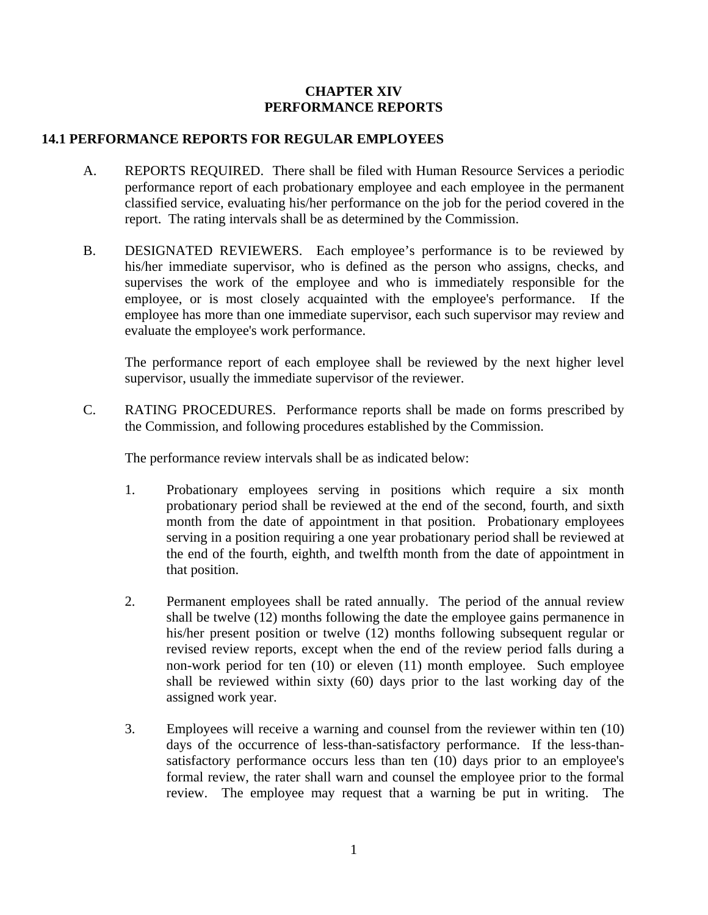## **CHAPTER XIV PERFORMANCE REPORTS**

## **14.1 PERFORMANCE REPORTS FOR REGULAR EMPLOYEES**

- A. REPORTS REQUIRED. There shall be filed with Human Resource Services a periodic performance report of each probationary employee and each employee in the permanent classified service, evaluating his/her performance on the job for the period covered in the report. The rating intervals shall be as determined by the Commission.
- B. DESIGNATED REVIEWERS. Each employee's performance is to be reviewed by his/her immediate supervisor, who is defined as the person who assigns, checks, and supervises the work of the employee and who is immediately responsible for the employee, or is most closely acquainted with the employee's performance. If the employee has more than one immediate supervisor, each such supervisor may review and evaluate the employee's work performance.

 The performance report of each employee shall be reviewed by the next higher level supervisor, usually the immediate supervisor of the reviewer.

C. RATING PROCEDURES. Performance reports shall be made on forms prescribed by the Commission, and following procedures established by the Commission.

The performance review intervals shall be as indicated below:

- 1. Probationary employees serving in positions which require a six month probationary period shall be reviewed at the end of the second, fourth, and sixth month from the date of appointment in that position. Probationary employees serving in a position requiring a one year probationary period shall be reviewed at the end of the fourth, eighth, and twelfth month from the date of appointment in that position.
- 2. Permanent employees shall be rated annually. The period of the annual review shall be twelve (12) months following the date the employee gains permanence in his/her present position or twelve (12) months following subsequent regular or revised review reports, except when the end of the review period falls during a non-work period for ten (10) or eleven (11) month employee. Such employee shall be reviewed within sixty (60) days prior to the last working day of the assigned work year.
- 3. Employees will receive a warning and counsel from the reviewer within ten (10) days of the occurrence of less-than-satisfactory performance. If the less-thansatisfactory performance occurs less than ten (10) days prior to an employee's formal review, the rater shall warn and counsel the employee prior to the formal review. The employee may request that a warning be put in writing. The